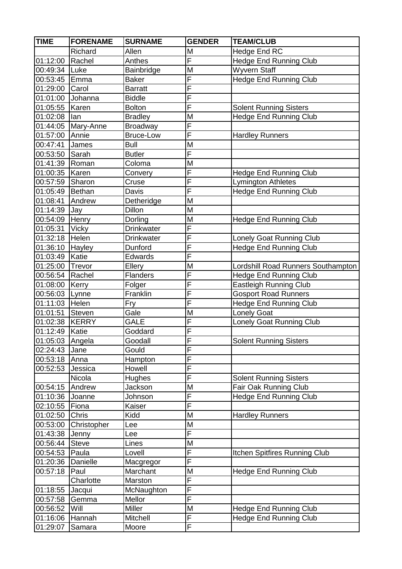| <b>TIME</b>      | <b>FORENAME</b>    | <b>SURNAME</b>   | <b>GENDER</b>           | <b>TEAM/CLUB</b>                   |
|------------------|--------------------|------------------|-------------------------|------------------------------------|
|                  | Richard            | Allen            | M                       | Hedge End RC                       |
| 01:12:00         | Rachel             | Anthes           | $\overline{\mathsf{F}}$ | <b>Hedge End Running Club</b>      |
| 00:49:34         | Luke               | Bainbridge       | M                       | Wyvern Staff                       |
| 00:53:45 Emma    |                    | <b>Baker</b>     | $\overline{\mathsf{F}}$ | <b>Hedge End Running Club</b>      |
| 01:29:00         | Carol              | <b>Barratt</b>   | F                       |                                    |
| 01:01:00         | Johanna            | <b>Biddle</b>    | F                       |                                    |
| 01:05:55 Karen   |                    | <b>Bolton</b>    | $\overline{\mathsf{F}}$ | <b>Solent Running Sisters</b>      |
| 01:02:08         | lan                | <b>Bradley</b>   | M                       | <b>Hedge End Running Club</b>      |
|                  | 01:44:05 Mary-Anne | <b>Broadway</b>  | $\overline{\mathsf{F}}$ |                                    |
| 01:57:00         | Annie              | <b>Bruce-Low</b> | F                       | <b>Hardley Runners</b>             |
| 00:47:41         | James              | <b>Bull</b>      | M                       |                                    |
| 00:53:50 Sarah   |                    | <b>Butler</b>    | F                       |                                    |
| 01:41:39 Roman   |                    | Coloma           | M                       |                                    |
| 01:00:35   Karen |                    | Convery          | $\overline{\mathsf{F}}$ | <b>Hedge End Running Club</b>      |
| 00:57:59         | Sharon             | Cruse            | $\overline{\mathsf{F}}$ | <b>Lymington Athletes</b>          |
| 01:05:49         | Bethan             | Davis            | F                       | <b>Hedge End Running Club</b>      |
| 01:08:41         | Andrew             | Detheridge       | M                       |                                    |
| 01:14:39         | Jay                | Dillon           | M                       |                                    |
| 00:54:09 Henry   |                    | Dorling          | M                       | <b>Hedge End Running Club</b>      |
| 01:05:31         | <b>Vicky</b>       | Drinkwater       | $\overline{\mathsf{F}}$ |                                    |
| 01:32:18         | Helen              | Drinkwater       | $\overline{\mathsf{F}}$ | Lonely Goat Running Club           |
| 01:36:10         | <b>Hayley</b>      | Dunford          | F                       | <b>Hedge End Running Club</b>      |
| 01:03:49         | Katie              | Edwards          | F                       |                                    |
| 01:25:00         | Trevor             | Ellery           | M                       | Lordshill Road Runners Southampton |
| 00:56:54         | Rachel             | <b>Flanders</b>  | F                       | <b>Hedge End Running Club</b>      |
| 01:08:00         | Kerry              | Folger           | $\overline{\mathsf{F}}$ | Eastleigh Running Club             |
| 00:56:03         | Lynne              | Franklin         | F                       | <b>Gosport Road Runners</b>        |
| 01:11:03         | Helen              | Fry              | F                       | Hedge End Running Club             |
| 01:01:51         | Steven             | Gale             | M                       | <b>Lonely Goat</b>                 |
| 01:02:38         | KERRY              | <b>GALE</b>      | F                       | Lonely Goat Running Club           |
| 01:12:49         | Katie              | Goddard          | F                       |                                    |
| 01:05:03 Angela  |                    | Goodall          | $\overline{F}$          | <b>Solent Running Sisters</b>      |
| 02:24:43         | Jane               | Gould            | F                       |                                    |
| 00:53:18 Anna    |                    | Hampton          | $\overline{\mathsf{F}}$ |                                    |
| 00:52:53         | Jessica            | Howell           | F                       |                                    |
|                  | Nicola             | <b>Hughes</b>    | F                       | <b>Solent Running Sisters</b>      |
| 00:54:15 Andrew  |                    | Jackson          | M                       | Fair Oak Running Club              |
| 01:10:36         | Joanne             | Johnson          | F                       | <b>Hedge End Running Club</b>      |
| 02:10:55         | Fiona              | Kaiser           | F                       |                                    |
| 01:02:50         | Chris              | Kidd             | M                       | <b>Hardley Runners</b>             |
| 00:53:00         | Christopher        | Lee              | M                       |                                    |
| 01:43:38         | Jenny              | Lee              | $\overline{\mathsf{F}}$ |                                    |
| 00:56:44         | <b>Steve</b>       | Lines            | M                       |                                    |
| 00:54:53         | Paula              | Lovell           | F                       | Itchen Spitfires Running Club      |
| 01:20:36         | Danielle           | Macgregor        | F                       |                                    |
| 00:57:18         | Paul               | Marchant         | M                       | <b>Hedge End Running Club</b>      |
|                  | Charlotte          | Marston          | F                       |                                    |
| 01:18:55         | Jacqui             | McNaughton       | F                       |                                    |
| 00:57:58         | Gemma              | Mellor           | F                       |                                    |
| 00:56:52         | Will               | Miller           | M                       | <b>Hedge End Running Club</b>      |
| 01:16:06         | Hannah             | Mitchell         | F                       | Hedge End Running Club             |
| 01:29:07         | Samara             | Moore            | F                       |                                    |
|                  |                    |                  |                         |                                    |